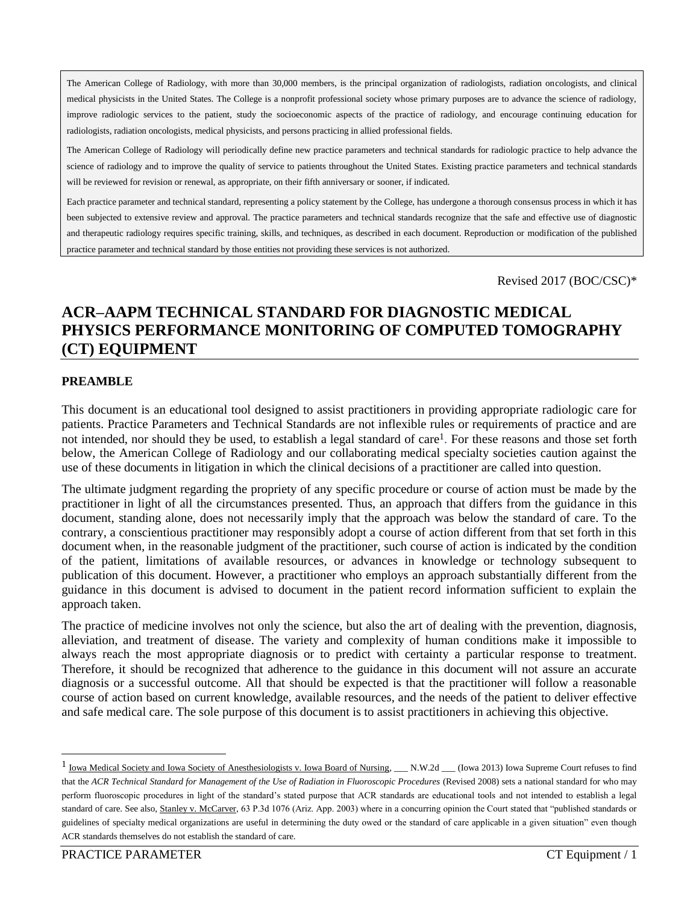The American College of Radiology, with more than 30,000 members, is the principal organization of radiologists, radiation oncologists, and clinical medical physicists in the United States. The College is a nonprofit professional society whose primary purposes are to advance the science of radiology, improve radiologic services to the patient, study the socioeconomic aspects of the practice of radiology, and encourage continuing education for radiologists, radiation oncologists, medical physicists, and persons practicing in allied professional fields.

The American College of Radiology will periodically define new practice parameters and technical standards for radiologic practice to help advance the science of radiology and to improve the quality of service to patients throughout the United States. Existing practice parameters and technical standards will be reviewed for revision or renewal, as appropriate, on their fifth anniversary or sooner, if indicated.

Each practice parameter and technical standard, representing a policy statement by the College, has undergone a thorough consensus process in which it has been subjected to extensive review and approval. The practice parameters and technical standards recognize that the safe and effective use of diagnostic and therapeutic radiology requires specific training, skills, and techniques, as described in each document. Reproduction or modification of the published practice parameter and technical standard by those entities not providing these services is not authorized.

Revised 2017 (BOC/CSC)\*

# **ACR–AAPM TECHNICAL STANDARD FOR DIAGNOSTIC MEDICAL PHYSICS PERFORMANCE MONITORING OF COMPUTED TOMOGRAPHY (CT) EQUIPMENT**

#### **PREAMBLE**

This document is an educational tool designed to assist practitioners in providing appropriate radiologic care for patients. Practice Parameters and Technical Standards are not inflexible rules or requirements of practice and are not intended, nor should they be used, to establish a legal standard of care<sup>1</sup>. For these reasons and those set forth below, the American College of Radiology and our collaborating medical specialty societies caution against the use of these documents in litigation in which the clinical decisions of a practitioner are called into question.

The ultimate judgment regarding the propriety of any specific procedure or course of action must be made by the practitioner in light of all the circumstances presented. Thus, an approach that differs from the guidance in this document, standing alone, does not necessarily imply that the approach was below the standard of care. To the contrary, a conscientious practitioner may responsibly adopt a course of action different from that set forth in this document when, in the reasonable judgment of the practitioner, such course of action is indicated by the condition of the patient, limitations of available resources, or advances in knowledge or technology subsequent to publication of this document. However, a practitioner who employs an approach substantially different from the guidance in this document is advised to document in the patient record information sufficient to explain the approach taken.

The practice of medicine involves not only the science, but also the art of dealing with the prevention, diagnosis, alleviation, and treatment of disease. The variety and complexity of human conditions make it impossible to always reach the most appropriate diagnosis or to predict with certainty a particular response to treatment. Therefore, it should be recognized that adherence to the guidance in this document will not assure an accurate diagnosis or a successful outcome. All that should be expected is that the practitioner will follow a reasonable course of action based on current knowledge, available resources, and the needs of the patient to deliver effective and safe medical care. The sole purpose of this document is to assist practitioners in achieving this objective.

 $\overline{a}$ 

<sup>&</sup>lt;sup>1</sup> Iowa Medical Society and Iowa Society of Anesthesiologists v. Iowa Board of Nursing, \_\_\_ N.W.2d \_\_\_ (Iowa 2013) Iowa Supreme Court refuses to find that the *ACR Technical Standard for Management of the Use of Radiation in Fluoroscopic Procedures* (Revised 2008) sets a national standard for who may perform fluoroscopic procedures in light of the standard's stated purpose that ACR standards are educational tools and not intended to establish a legal standard of care. See also, Stanley v. McCarver, 63 P.3d 1076 (Ariz. App. 2003) where in a concurring opinion the Court stated that "published standards or guidelines of specialty medical organizations are useful in determining the duty owed or the standard of care applicable in a given situation" even though ACR standards themselves do not establish the standard of care.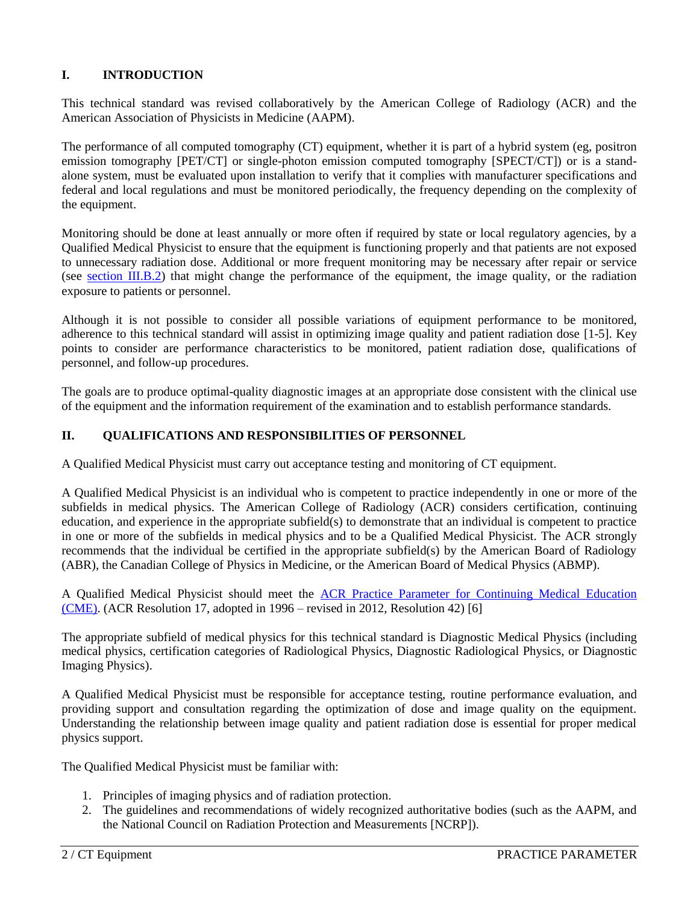# **I. INTRODUCTION**

This technical standard was revised collaboratively by the American College of Radiology (ACR) and the American Association of Physicists in Medicine (AAPM).

The performance of all computed tomography (CT) equipment, whether it is part of a hybrid system (eg, positron emission tomography [PET/CT] or single-photon emission computed tomography [SPECT/CT]) or is a standalone system, must be evaluated upon installation to verify that it complies with manufacturer specifications and federal and local regulations and must be monitored periodically, the frequency depending on the complexity of the equipment.

Monitoring should be done at least annually or more often if required by state or local regulatory agencies, by a Qualified Medical Physicist to ensure that the equipment is functioning properly and that patients are not exposed to unnecessary radiation dose. Additional or more frequent monitoring may be necessary after repair or service (see [section III.B.2\)](#page-3-0) that might change the performance of the equipment, the image quality, or the radiation exposure to patients or personnel.

Although it is not possible to consider all possible variations of equipment performance to be monitored, adherence to this technical standard will assist in optimizing image quality and patient radiation dose [\[1-5\]](#page-6-0). Key points to consider are performance characteristics to be monitored, patient radiation dose, qualifications of personnel, and follow-up procedures.

The goals are to produce optimal-quality diagnostic images at an appropriate dose consistent with the clinical use of the equipment and the information requirement of the examination and to establish performance standards.

## **II. QUALIFICATIONS AND RESPONSIBILITIES OF PERSONNEL**

A Qualified Medical Physicist must carry out acceptance testing and monitoring of CT equipment.

A Qualified Medical Physicist is an individual who is competent to practice independently in one or more of the subfields in medical physics. The American College of Radiology (ACR) considers certification, continuing education, and experience in the appropriate subfield(s) to demonstrate that an individual is competent to practice in one or more of the subfields in medical physics and to be a Qualified Medical Physicist. The ACR strongly recommends that the individual be certified in the appropriate subfield(s) by the American Board of Radiology (ABR), the Canadian College of Physics in Medicine, or the American Board of Medical Physics (ABMP).

A Qualified Medical Physicist should meet the ACR Practice Parameter [for Continuing Medical Education](http://www.acr.org/~/media/FBCDC94E0E25448DAD5EE9147370A8D1.pdf)  [\(CME\).](http://www.acr.org/~/media/FBCDC94E0E25448DAD5EE9147370A8D1.pdf) (ACR Resolution 17, adopted in 1996 – revised in 2012, Resolution 42) [\[6\]](#page-6-1)

The appropriate subfield of medical physics for this technical standard is Diagnostic Medical Physics (including medical physics, certification categories of Radiological Physics, Diagnostic Radiological Physics, or Diagnostic Imaging Physics).

A Qualified Medical Physicist must be responsible for acceptance testing, routine performance evaluation, and providing support and consultation regarding the optimization of dose and image quality on the equipment. Understanding the relationship between image quality and patient radiation dose is essential for proper medical physics support.

The Qualified Medical Physicist must be familiar with:

- 1. Principles of imaging physics and of radiation protection.
- 2. The guidelines and recommendations of widely recognized authoritative bodies (such as the AAPM, and the National Council on Radiation Protection and Measurements [NCRP]).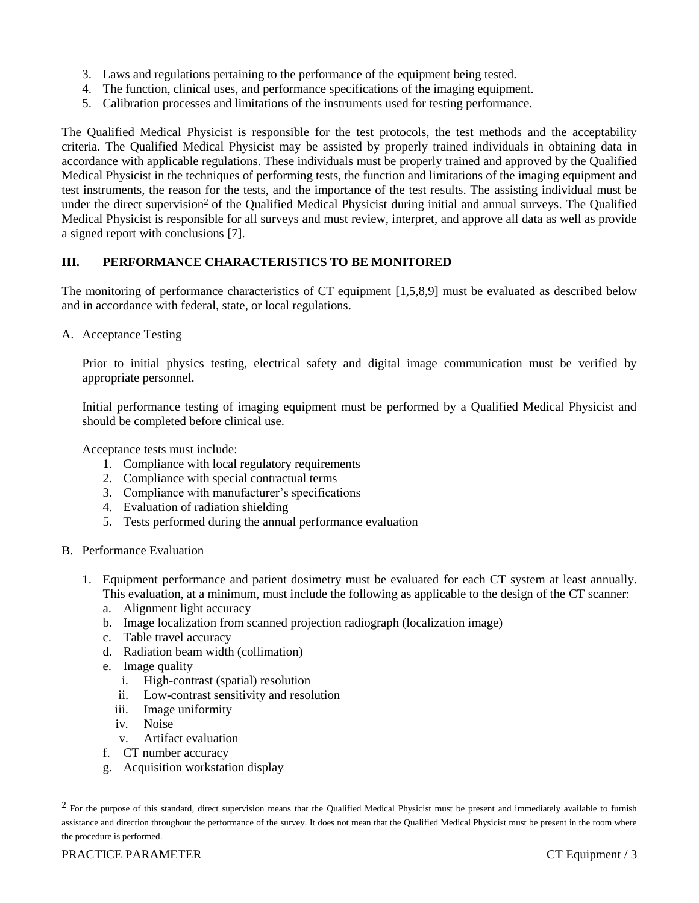- 3. Laws and regulations pertaining to the performance of the equipment being tested.
- 4. The function, clinical uses, and performance specifications of the imaging equipment.
- 5. Calibration processes and limitations of the instruments used for testing performance.

The Qualified Medical Physicist is responsible for the test protocols, the test methods and the acceptability criteria. The Qualified Medical Physicist may be assisted by properly trained individuals in obtaining data in accordance with applicable regulations. These individuals must be properly trained and approved by the Qualified Medical Physicist in the techniques of performing tests, the function and limitations of the imaging equipment and test instruments, the reason for the tests, and the importance of the test results. The assisting individual must be under the direct supervision<sup>2</sup> of the Qualified Medical Physicist during initial and annual surveys. The Qualified Medical Physicist is responsible for all surveys and must review, interpret, and approve all data as well as provide a signed report with conclusions [\[7\]](#page-6-2).

# **III. PERFORMANCE CHARACTERISTICS TO BE MONITORED**

The monitoring of performance characteristics of CT equipment [\[1](#page-6-0)[,5](#page-6-3)[,8](#page-6-4)[,9\]](#page-6-5) must be evaluated as described below and in accordance with federal, state, or local regulations.

A. Acceptance Testing

Prior to initial physics testing, electrical safety and digital image communication must be verified by appropriate personnel.

Initial performance testing of imaging equipment must be performed by a Qualified Medical Physicist and should be completed before clinical use.

Acceptance tests must include:

- 1. Compliance with local regulatory requirements
- 2. Compliance with special contractual terms
- 3. Compliance with manufacturer's specifications
- 4. Evaluation of radiation shielding
- 5. Tests performed during the annual performance evaluation
- B. Performance Evaluation
	- 1. Equipment performance and patient dosimetry must be evaluated for each CT system at least annually. This evaluation, at a minimum, must include the following as applicable to the design of the CT scanner:
		- a. Alignment light accuracy
		- b. Image localization from scanned projection radiograph (localization image)
		- c. Table travel accuracy
		- d. Radiation beam width (collimation)
		- e. Image quality
			- i. High-contrast (spatial) resolution
			- ii. Low-contrast sensitivity and resolution
			- iii. Image uniformity
			- iv. Noise
			- v. Artifact evaluation
		- f. CT number accuracy
		- g. Acquisition workstation display

 $\overline{a}$ 

 $<sup>2</sup>$  For the purpose of this standard, direct supervision means that the Qualified Medical Physicist must be present and immediately available to furnish</sup> assistance and direction throughout the performance of the survey. It does not mean that the Qualified Medical Physicist must be present in the room where the procedure is performed.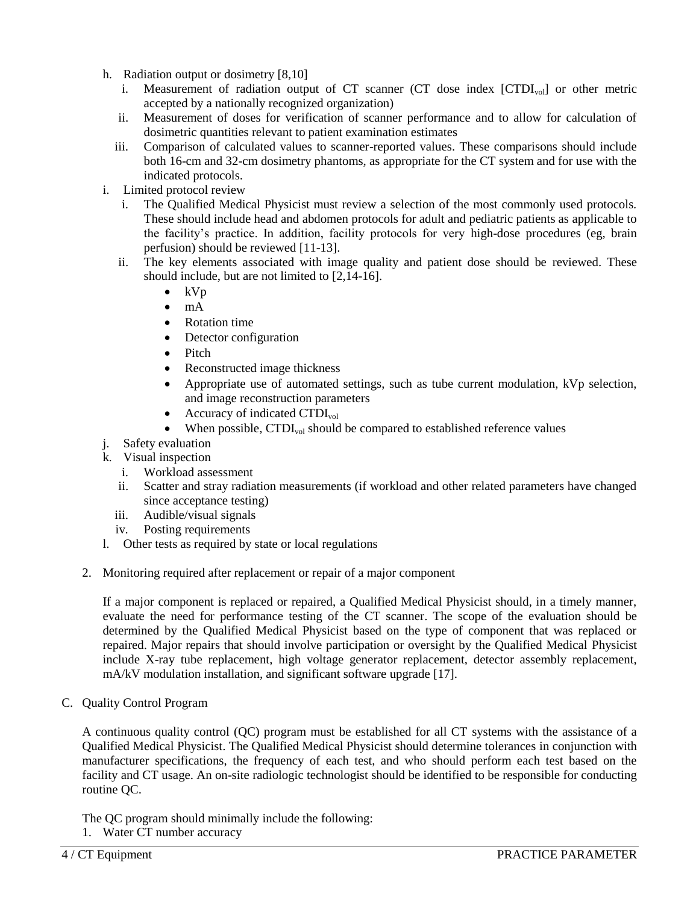- h. Radiation output or dosimetry [\[8](#page-6-4)[,10\]](#page-6-6)
	- i. Measurement of radiation output of  $CT$  scanner  $(CT$  dose index  $[CTDI<sub>vol</sub>]$  or other metric accepted by a nationally recognized organization)
	- ii. Measurement of doses for verification of scanner performance and to allow for calculation of dosimetric quantities relevant to patient examination estimates
	- iii. Comparison of calculated values to scanner-reported values. These comparisons should include both 16-cm and 32-cm dosimetry phantoms, as appropriate for the CT system and for use with the indicated protocols.
- i. Limited protocol review
	- i. The Qualified Medical Physicist must review a selection of the most commonly used protocols. These should include head and abdomen protocols for adult and pediatric patients as applicable to the facility's practice. In addition, facility protocols for very high-dose procedures (eg, brain perfusion) should be reviewed [\[11-13\]](#page-6-7).
	- ii. The key elements associated with image quality and patient dose should be reviewed. These should include, but are not limited to [\[2](#page-6-8)[,14-16\]](#page-6-9).
		- $\bullet$  kVp
		- $\bullet$  mA
		- Rotation time
		- Detector configuration
		- Pitch
		- Reconstructed image thickness
		- Appropriate use of automated settings, such as tube current modulation, kVp selection, and image reconstruction parameters
		- Accuracy of indicated CTDI<sub>vol</sub>
		- When possible, CTDI<sub>vol</sub> should be compared to established reference values
- j. Safety evaluation
- k. Visual inspection
	- i. Workload assessment
	- ii. Scatter and stray radiation measurements (if workload and other related parameters have changed since acceptance testing)
	- iii. Audible/visual signals
	- iv. Posting requirements
- l. Other tests as required by state or local regulations
- <span id="page-3-0"></span>2. Monitoring required after replacement or repair of a major component

If a major component is replaced or repaired, a Qualified Medical Physicist should, in a timely manner, evaluate the need for performance testing of the CT scanner. The scope of the evaluation should be determined by the Qualified Medical Physicist based on the type of component that was replaced or repaired. Major repairs that should involve participation or oversight by the Qualified Medical Physicist include X-ray tube replacement, high voltage generator replacement, detector assembly replacement, mA/kV modulation installation, and significant software upgrade [\[17\]](#page-6-10).

C. Quality Control Program

A continuous quality control (QC) program must be established for all CT systems with the assistance of a Qualified Medical Physicist. The Qualified Medical Physicist should determine tolerances in conjunction with manufacturer specifications, the frequency of each test, and who should perform each test based on the facility and CT usage. An on-site radiologic technologist should be identified to be responsible for conducting routine QC.

The QC program should minimally include the following:

1. Water CT number accuracy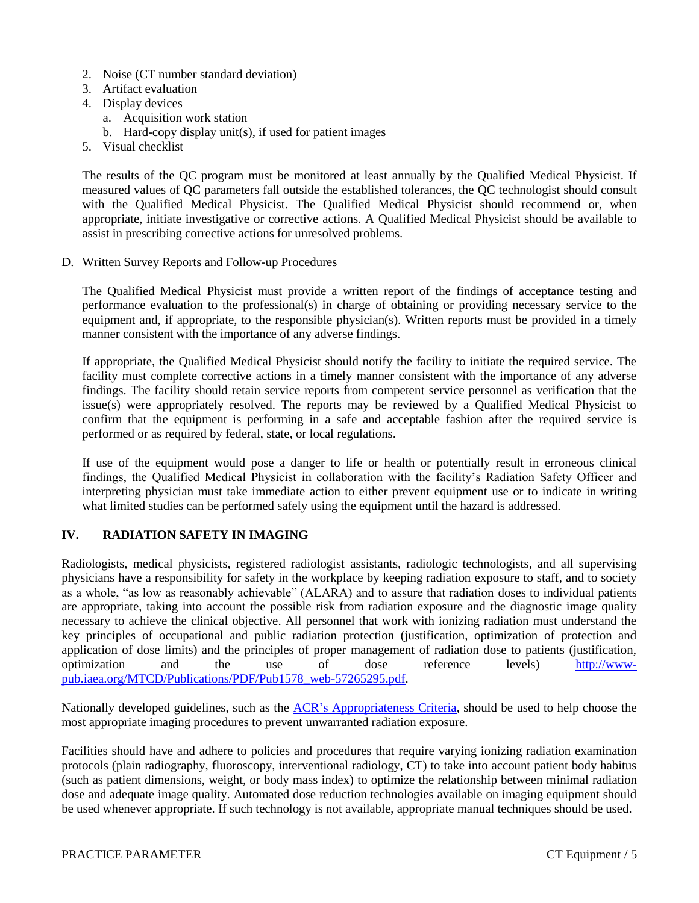- 2. Noise (CT number standard deviation)
- 3. Artifact evaluation
- 4. Display devices
	- a. Acquisition work station
	- b. Hard-copy display unit(s), if used for patient images
- 5. Visual checklist

The results of the QC program must be monitored at least annually by the Qualified Medical Physicist. If measured values of QC parameters fall outside the established tolerances, the QC technologist should consult with the Qualified Medical Physicist. The Qualified Medical Physicist should recommend or, when appropriate, initiate investigative or corrective actions. A Qualified Medical Physicist should be available to assist in prescribing corrective actions for unresolved problems.

D. Written Survey Reports and Follow-up Procedures

The Qualified Medical Physicist must provide a written report of the findings of acceptance testing and performance evaluation to the professional(s) in charge of obtaining or providing necessary service to the equipment and, if appropriate, to the responsible physician(s). Written reports must be provided in a timely manner consistent with the importance of any adverse findings.

If appropriate, the Qualified Medical Physicist should notify the facility to initiate the required service. The facility must complete corrective actions in a timely manner consistent with the importance of any adverse findings. The facility should retain service reports from competent service personnel as verification that the issue(s) were appropriately resolved. The reports may be reviewed by a Qualified Medical Physicist to confirm that the equipment is performing in a safe and acceptable fashion after the required service is performed or as required by federal, state, or local regulations.

If use of the equipment would pose a danger to life or health or potentially result in erroneous clinical findings, the Qualified Medical Physicist in collaboration with the facility's Radiation Safety Officer and interpreting physician must take immediate action to either prevent equipment use or to indicate in writing what limited studies can be performed safely using the equipment until the hazard is addressed.

## **IV. RADIATION SAFETY IN IMAGING**

Radiologists, medical physicists, registered radiologist assistants, radiologic technologists, and all supervising physicians have a responsibility for safety in the workplace by keeping radiation exposure to staff, and to society as a whole, "as low as reasonably achievable" (ALARA) and to assure that radiation doses to individual patients are appropriate, taking into account the possible risk from radiation exposure and the diagnostic image quality necessary to achieve the clinical objective. All personnel that work with ionizing radiation must understand the key principles of occupational and public radiation protection (justification, optimization of protection and application of dose limits) and the principles of proper management of radiation dose to patients (justification, optimization and the use of dose reference levels) [http://www](http://www-pub.iaea.org/MTCD/Publications/PDF/Pub1578_web-57265295.pdf)[pub.iaea.org/MTCD/Publications/PDF/Pub1578\\_web-57265295.pdf.](http://www-pub.iaea.org/MTCD/Publications/PDF/Pub1578_web-57265295.pdf)

Nationally developed guidelines, such as the ACR's [Appropriateness Criteria,](http://www.acr.org/Quality-Safety/Appropriateness-Criteria) should be used to help choose the most appropriate imaging procedures to prevent unwarranted radiation exposure.

Facilities should have and adhere to policies and procedures that require varying ionizing radiation examination protocols (plain radiography, fluoroscopy, interventional radiology, CT) to take into account patient body habitus (such as patient dimensions, weight, or body mass index) to optimize the relationship between minimal radiation dose and adequate image quality. Automated dose reduction technologies available on imaging equipment should be used whenever appropriate. If such technology is not available, appropriate manual techniques should be used.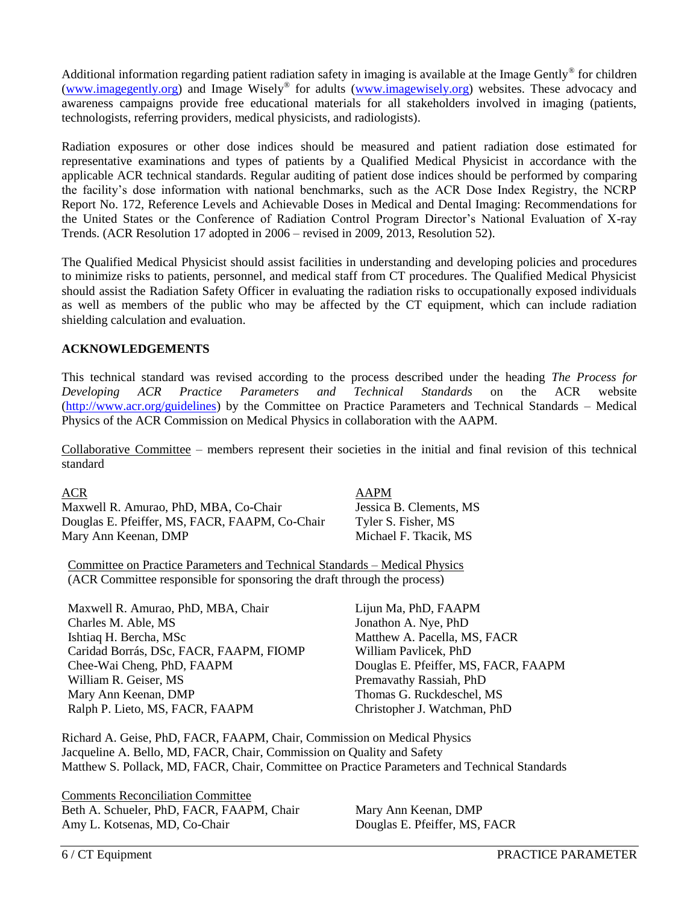Additional information regarding patient radiation safety in imaging is available at the Image Gently<sup>®</sup> for children [\(www.imagegently.org\)](http://www.imagegently.org/) and Image Wisely<sup>®</sup> for adults [\(www.imagewisely.org\)](http://www.imagewisely.org/) websites. These advocacy and awareness campaigns provide free educational materials for all stakeholders involved in imaging (patients, technologists, referring providers, medical physicists, and radiologists).

Radiation exposures or other dose indices should be measured and patient radiation dose estimated for representative examinations and types of patients by a Qualified Medical Physicist in accordance with the applicable ACR technical standards. Regular auditing of patient dose indices should be performed by comparing the facility's dose information with national benchmarks, such as the ACR Dose Index Registry, the NCRP Report No. 172, Reference Levels and Achievable Doses in Medical and Dental Imaging: Recommendations for the United States or the Conference of Radiation Control Program Director's National Evaluation of X-ray Trends. (ACR Resolution 17 adopted in 2006 – revised in 2009, 2013, Resolution 52).

The Qualified Medical Physicist should assist facilities in understanding and developing policies and procedures to minimize risks to patients, personnel, and medical staff from CT procedures. The Qualified Medical Physicist should assist the Radiation Safety Officer in evaluating the radiation risks to occupationally exposed individuals as well as members of the public who may be affected by the CT equipment, which can include radiation shielding calculation and evaluation.

## **ACKNOWLEDGEMENTS**

This technical standard was revised according to the process described under the heading *The Process for Developing ACR Practice Parameters and Technical Standards* on the ACR website [\(http://www.acr.org/guidelines\)](http://www.acr.org/guidelines) by the Committee on Practice Parameters and Technical Standards – Medical Physics of the ACR Commission on Medical Physics in collaboration with the AAPM.

Collaborative Committee – members represent their societies in the initial and final revision of this technical standard

ACR AAPM

Maxwell R. Amurao, PhD, MBA, Co-Chair Jessica B. Clements, MS Douglas E. Pfeiffer, MS, FACR, FAAPM, Co-Chair Tyler S. Fisher, MS Mary Ann Keenan, DMP Michael F. Tkacik, MS

Committee on Practice Parameters and Technical Standards – Medical Physics (ACR Committee responsible for sponsoring the draft through the process)

Maxwell R. Amurao, PhD, MBA, Chair Lijun Ma, PhD, FAAPM Charles M. Able, MS Jonathon A. Nye, PhD Ishtiaq H. Bercha, MSc **Matthew A. Pacella, MS, FACR** Caridad Borrás, DSc, FACR, FAAPM, FIOMP William Pavlicek, PhD<br>Chee-Wai Cheng, PhD, FAAPM Douglas E. Pfeiffer, MS William R. Geiser, MS Premavathy Rassiah, PhD Mary Ann Keenan, DMP Thomas G. Ruckdeschel, MS Ralph P. Lieto, MS, FACR, FAAPM Christopher J. Watchman, PhD

Douglas E. Pfeiffer, MS, FACR, FAAPM

Richard A. Geise, PhD, FACR, FAAPM, Chair, Commission on Medical Physics Jacqueline A. Bello, MD, FACR, Chair, Commission on Quality and Safety Matthew S. Pollack, MD, FACR, Chair, Committee on Practice Parameters and Technical Standards

Comments Reconciliation Committee Beth A. Schueler, PhD, FACR, FAAPM, Chair Mary Ann Keenan, DMP Amy L. Kotsenas, MD, Co-Chair Douglas E. Pfeiffer, MS, FACR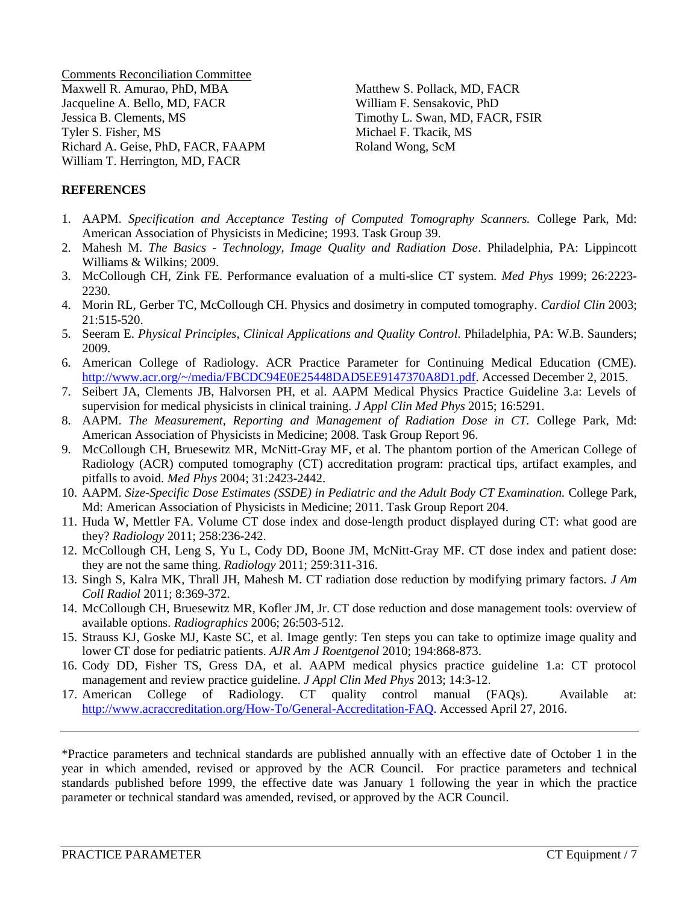Comments Reconciliation Committee Maxwell R. Amurao, PhD, MBA Matthew S. Pollack, MD, FACR Jacqueline A. Bello, MD, FACR William F. Sensakovic, PhD Jessica B. Clements, MS Timothy L. Swan, MD, FACR, FSIR Tyler S. Fisher, MS Michael F. Tkacik, MS Richard A. Geise, PhD, FACR, FAAPM Roland Wong, ScM William T. Herrington, MD, FACR

#### **REFERENCES**

- <span id="page-6-0"></span>1. AAPM. *Specification and Acceptance Testing of Computed Tomography Scanners.* College Park, Md: American Association of Physicists in Medicine; 1993. Task Group 39.
- <span id="page-6-8"></span>2. Mahesh M. *The Basics - Technology, Image Quality and Radiation Dose*. Philadelphia, PA: Lippincott Williams & Wilkins; 2009.
- 3. McCollough CH, Zink FE. Performance evaluation of a multi-slice CT system. *Med Phys* 1999; 26:2223- 2230.
- 4. Morin RL, Gerber TC, McCollough CH. Physics and dosimetry in computed tomography. *Cardiol Clin* 2003; 21:515-520.
- <span id="page-6-3"></span>5. Seeram E. *Physical Principles, Clinical Applications and Quality Control*. Philadelphia, PA: W.B. Saunders; 2009.
- <span id="page-6-1"></span>6. American College of Radiology. ACR Practice Parameter for Continuing Medical Education (CME). [http://www.acr.org/~/media/FBCDC94E0E25448DAD5EE9147370A8D1.pdf.](http://www.acr.org/~/media/FBCDC94E0E25448DAD5EE9147370A8D1.pdf) Accessed December 2, 2015.
- <span id="page-6-2"></span>7. Seibert JA, Clements JB, Halvorsen PH, et al. AAPM Medical Physics Practice Guideline 3.a: Levels of supervision for medical physicists in clinical training. *J Appl Clin Med Phys* 2015; 16:5291.
- <span id="page-6-4"></span>8. AAPM. *The Measurement, Reporting and Management of Radiation Dose in CT.* College Park, Md: American Association of Physicists in Medicine; 2008. Task Group Report 96.
- <span id="page-6-5"></span>9. McCollough CH, Bruesewitz MR, McNitt-Gray MF, et al. The phantom portion of the American College of Radiology (ACR) computed tomography (CT) accreditation program: practical tips, artifact examples, and pitfalls to avoid. *Med Phys* 2004; 31:2423-2442.
- <span id="page-6-6"></span>10. AAPM. *Size-Specific Dose Estimates (SSDE) in Pediatric and the Adult Body CT Examination.* College Park, Md: American Association of Physicists in Medicine; 2011. Task Group Report 204.
- <span id="page-6-7"></span>11. Huda W, Mettler FA. Volume CT dose index and dose-length product displayed during CT: what good are they? *Radiology* 2011; 258:236-242.
- 12. McCollough CH, Leng S, Yu L, Cody DD, Boone JM, McNitt-Gray MF. CT dose index and patient dose: they are not the same thing. *Radiology* 2011; 259:311-316.
- 13. Singh S, Kalra MK, Thrall JH, Mahesh M. CT radiation dose reduction by modifying primary factors. *J Am Coll Radiol* 2011; 8:369-372.
- <span id="page-6-9"></span>14. McCollough CH, Bruesewitz MR, Kofler JM, Jr. CT dose reduction and dose management tools: overview of available options. *Radiographics* 2006; 26:503-512.
- 15. Strauss KJ, Goske MJ, Kaste SC, et al. Image gently: Ten steps you can take to optimize image quality and lower CT dose for pediatric patients. *AJR Am J Roentgenol* 2010; 194:868-873.
- 16. Cody DD, Fisher TS, Gress DA, et al. AAPM medical physics practice guideline 1.a: CT protocol management and review practice guideline. *J Appl Clin Med Phys* 2013; 14:3-12.
- <span id="page-6-10"></span>17. American College of Radiology. CT quality control manual (FAQs). Available at: [http://www.acraccreditation.org/How-To/General-Accreditation-FAQ.](http://www.acraccreditation.org/How-To/General-Accreditation-FAQ) Accessed April 27, 2016.

\*Practice parameters and technical standards are published annually with an effective date of October 1 in the year in which amended, revised or approved by the ACR Council. For practice parameters and technical standards published before 1999, the effective date was January 1 following the year in which the practice parameter or technical standard was amended, revised, or approved by the ACR Council.